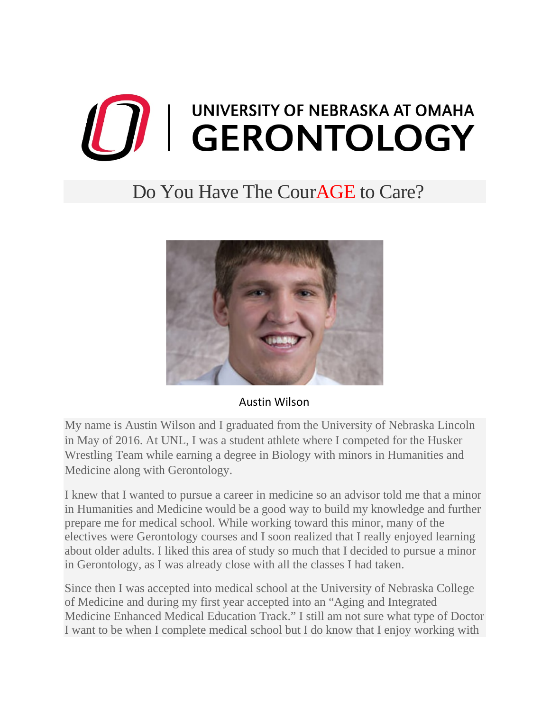## O I UNIVERSITY OF NEBRASKA AT OMAHA UNIVERSITY OF NEBRASKA AT OMAHA

## Do You Have The CourAGE to Care?



## Austin Wilson

My name is Austin Wilson and I graduated from the University of Nebraska Lincoln in May of 2016. At UNL, I was a student athlete where I competed for the Husker Wrestling Team while earning a degree in Biology with minors in Humanities and Medicine along with Gerontology.

I knew that I wanted to pursue a career in medicine so an advisor told me that a minor in Humanities and Medicine would be a good way to build my knowledge and further prepare me for medical school. While working toward this minor, many of the electives were Gerontology courses and I soon realized that I really enjoyed learning about older adults. I liked this area of study so much that I decided to pursue a minor in Gerontology, as I was already close with all the classes I had taken.

Since then I was accepted into medical school at the University of Nebraska College of Medicine and during my first year accepted into an "Aging and Integrated Medicine Enhanced Medical Education Track." I still am not sure what type of Doctor I want to be when I complete medical school but I do know that I enjoy working with